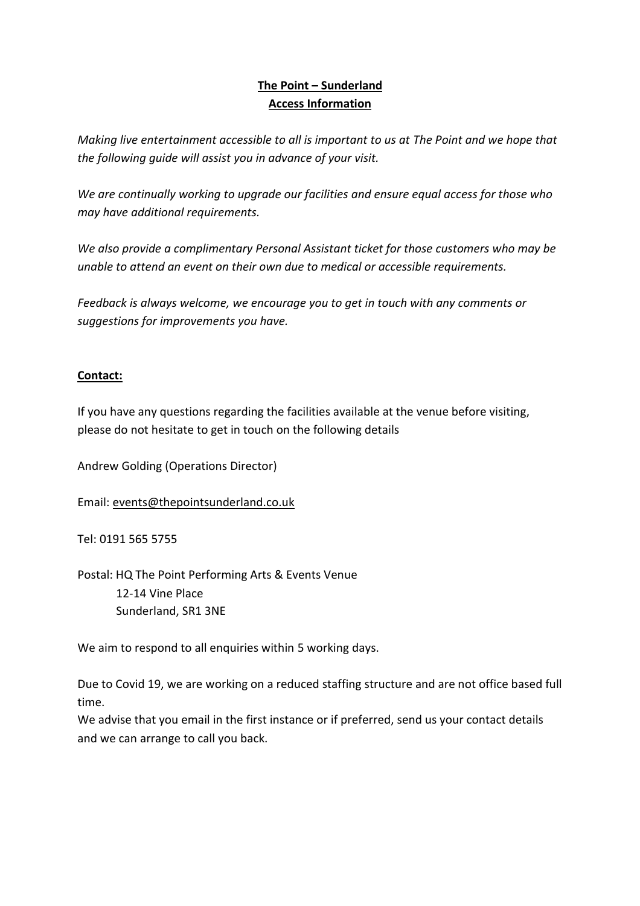# **The Point – Sunderland Access Information**

*Making live entertainment accessible to all is important to us at The Point and we hope that the following guide will assist you in advance of your visit.* 

*We are continually working to upgrade our facilities and ensure equal access for those who may have additional requirements.* 

*We also provide a complimentary Personal Assistant ticket for those customers who may be unable to attend an event on their own due to medical or accessible requirements.* 

*Feedback is always welcome, we encourage you to get in touch with any comments or suggestions for improvements you have.* 

# **Contact:**

If you have any questions regarding the facilities available at the venue before visiting, please do not hesitate to get in touch on the following details

Andrew Golding (Operations Director)

Email: [events@thepointsunderland.co.uk](mailto:events@thepointsunderland.co.uk)

Tel: 0191 565 5755

Postal: HQ The Point Performing Arts & Events Venue 12-14 Vine Place Sunderland, SR1 3NE

We aim to respond to all enquiries within 5 working days.

Due to Covid 19, we are working on a reduced staffing structure and are not office based full time.

We advise that you email in the first instance or if preferred, send us your contact details and we can arrange to call you back.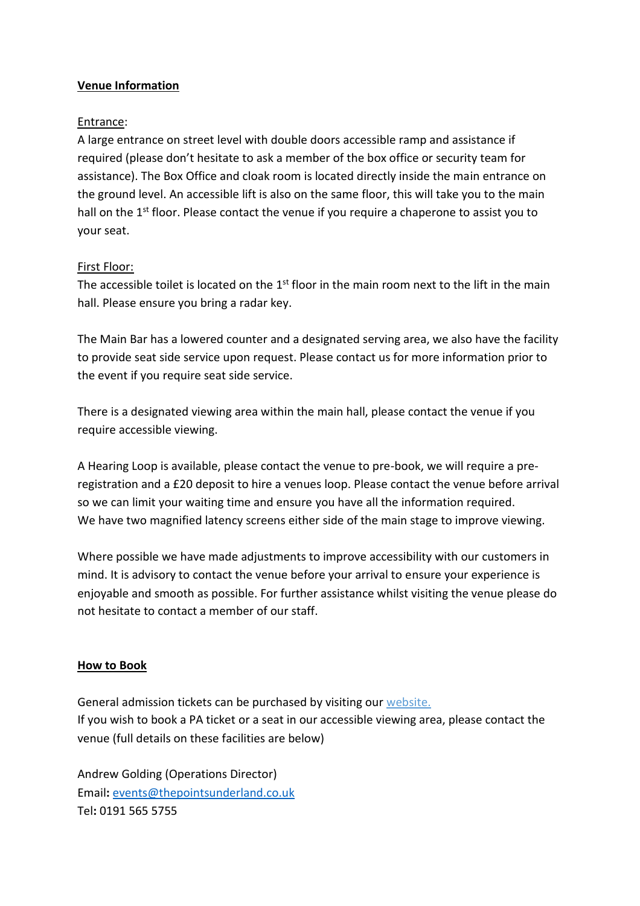# **Venue Information**

#### Entrance:

A large entrance on street level with double doors accessible ramp and assistance if required (please don't hesitate to ask a member of the box office or security team for assistance). The Box Office and cloak room is located directly inside the main entrance on the ground level. An accessible lift is also on the same floor, this will take you to the main hall on the 1<sup>st</sup> floor. Please contact the venue if you require a chaperone to assist you to your seat.

## First Floor:

The accessible toilet is located on the  $1<sup>st</sup>$  floor in the main room next to the lift in the main hall. Please ensure you bring a radar key.

The Main Bar has a lowered counter and a designated serving area, we also have the facility to provide seat side service upon request. Please contact us for more information prior to the event if you require seat side service.

There is a designated viewing area within the main hall, please contact the venue if you require accessible viewing.

A Hearing Loop is available, please contact the venue to pre-book, we will require a preregistration and a £20 deposit to hire a venues loop. Please contact the venue before arrival so we can limit your waiting time and ensure you have all the information required. We have two magnified latency screens either side of the main stage to improve viewing.

Where possible we have made adjustments to improve accessibility with our customers in mind. It is advisory to contact the venue before your arrival to ensure your experience is enjoyable and smooth as possible. For further assistance whilst visiting the venue please do not hesitate to contact a member of our staff.

# **How to Book**

General admission tickets can be purchased by visiting our website. If you wish to book a PA ticket or a seat in our accessible viewing area, please contact the venue (full details on these facilities are below)

Andrew Golding (Operations Director) Email**:** [events@thepointsunderland.co.uk](mailto:events@thepointsunderland.co.uk) Tel**:** 0191 565 5755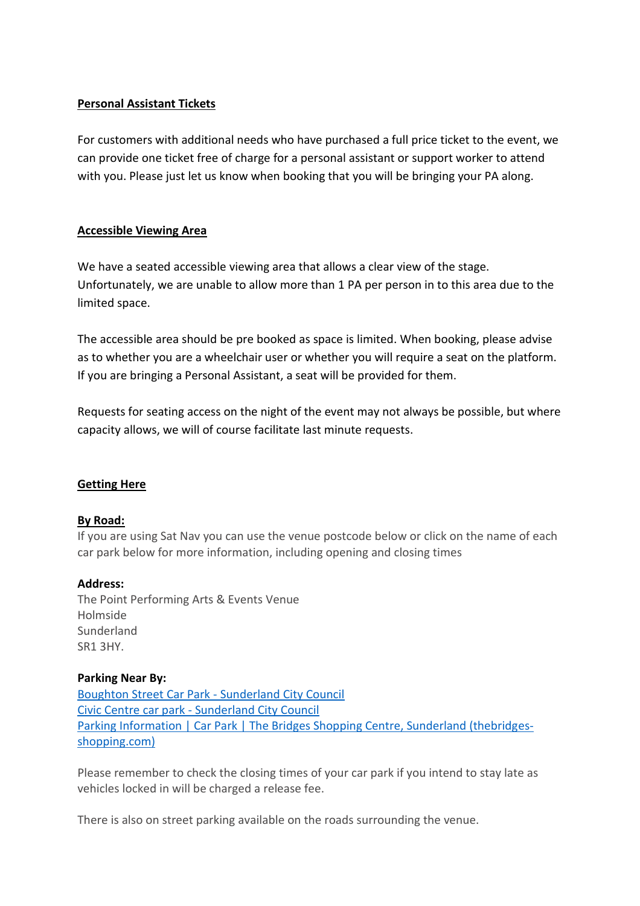# **Personal Assistant Tickets**

For customers with additional needs who have purchased a full price ticket to the event, we can provide one ticket free of charge for a personal assistant or support worker to attend with you. Please just let us know when booking that you will be bringing your PA along.

## **Accessible Viewing Area**

We have a seated accessible viewing area that allows a clear view of the stage. Unfortunately, we are unable to allow more than 1 PA per person in to this area due to the limited space.

The accessible area should be pre booked as space is limited. When booking, please advise as to whether you are a wheelchair user or whether you will require a seat on the platform. If you are bringing a Personal Assistant, a seat will be provided for them.

Requests for seating access on the night of the event may not always be possible, but where capacity allows, we will of course facilitate last minute requests.

#### **Getting Here**

#### **By Road:**

If you are using Sat Nav you can use the venue postcode below or click on the name of each car park below for more information, including opening and closing times

#### **Address:**

The Point Performing Arts & Events Venue Holmside **Sunderland** SR1 3HY.

#### **Parking Near By:**

[Boughton Street Car Park -](https://www.sunderland.gov.uk/boughton-street-car-park) Sunderland City Council Civic Centre car park - [Sunderland City Council](https://www.sunderland.gov.uk/civic-centre-car-park) [Parking Information | Car Park | The Bridges Shopping Centre, Sunderland \(thebridges](https://www.thebridges-shopping.com/centre-information/parking-information/)[shopping.com\)](https://www.thebridges-shopping.com/centre-information/parking-information/)

Please remember to check the closing times of your car park if you intend to stay late as vehicles locked in will be charged a release fee.

There is also on street parking available on the roads surrounding the venue.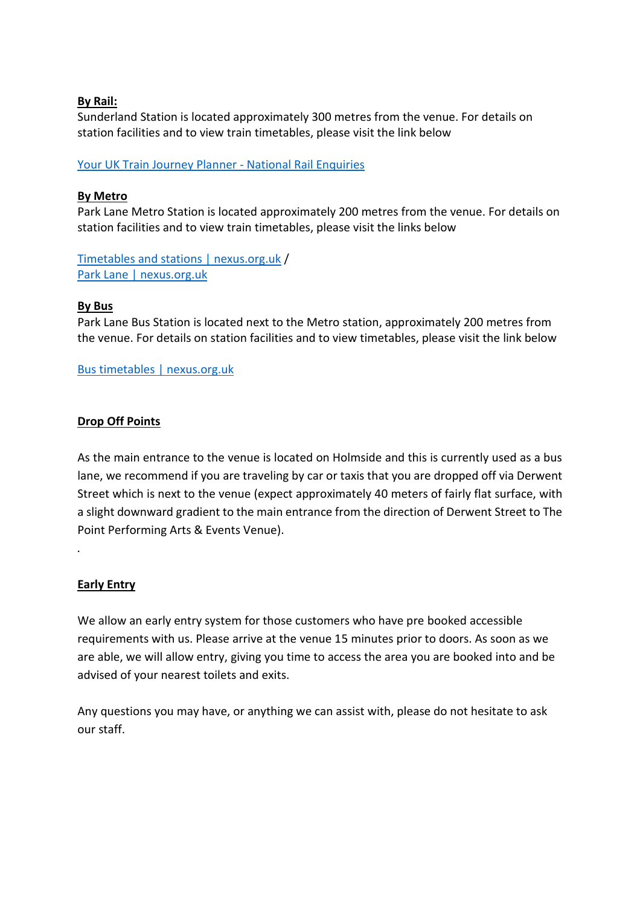## **By Rail:**

Sunderland Station is located approximately 300 metres from the venue. For details on station facilities and to view train timetables, please visit the link below

[Your UK Train Journey Planner -](https://ojp.nationalrail.co.uk/service/planjourney/search) National Rail Enquiries

## **By Metro**

Park Lane Metro Station is located approximately 200 metres from the venue. For details on station facilities and to view train timetables, please visit the links below

[Timetables and stations | nexus.org.uk](https://www.nexus.org.uk/metro/timetables-stations) / [Park Lane | nexus.org.uk](https://www.nexus.org.uk/metro/timetables-and-stations/park-lane)

## **By Bus**

Park Lane Bus Station is located next to the Metro station, approximately 200 metres from the venue. For details on station facilities and to view timetables, please visit the link below

[Bus timetables | nexus.org.uk](https://www.nexus.org.uk/bus/timetables)

# **Drop Off Points**

As the main entrance to the venue is located on Holmside and this is currently used as a bus lane, we recommend if you are traveling by car or taxis that you are dropped off via Derwent Street which is next to the venue (expect approximately 40 meters of fairly flat surface, with a slight downward gradient to the main entrance from the direction of Derwent Street to The Point Performing Arts & Events Venue).

#### **Early Entry**

*.* 

We allow an early entry system for those customers who have pre booked accessible requirements with us. Please arrive at the venue 15 minutes prior to doors. As soon as we are able, we will allow entry, giving you time to access the area you are booked into and be advised of your nearest toilets and exits.

Any questions you may have, or anything we can assist with, please do not hesitate to ask our staff.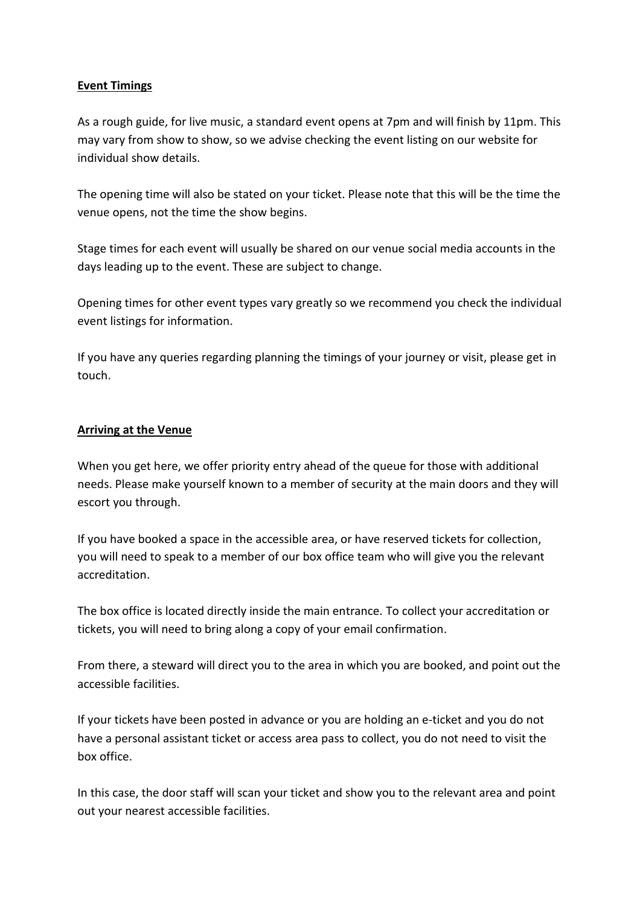# **Event Timings**

As a rough guide, for live music, a standard event opens at 7pm and will finish by 11pm. This may vary from show to show, so we advise checking the event listing on our website for individual show details.

The opening time will also be stated on your ticket. Please note that this will be the time the venue opens, not the time the show begins.

Stage times for each event will usually be shared on our venue social media accounts in the days leading up to the event. These are subject to change.

Opening times for other event types vary greatly so we recommend you check the individual event listings for information.

If you have any queries regarding planning the timings of your journey or visit, please get in touch.

## **Arriving at the Venue**

When you get here, we offer priority entry ahead of the queue for those with additional needs. Please make yourself known to a member of security at the main doors and they will escort you through.

If you have booked a space in the accessible area, or have reserved tickets for collection, you will need to speak to a member of our box office team who will give you the relevant accreditation.

The box office is located directly inside the main entrance. To collect your accreditation or tickets, you will need to bring along a copy of your email confirmation.

From there, a steward will direct you to the area in which you are booked, and point out the accessible facilities.

If your tickets have been posted in advance or you are holding an e-ticket and you do not have a personal assistant ticket or access area pass to collect, you do not need to visit the box office.

In this case, the door staff will scan your ticket and show you to the relevant area and point out your nearest accessible facilities.